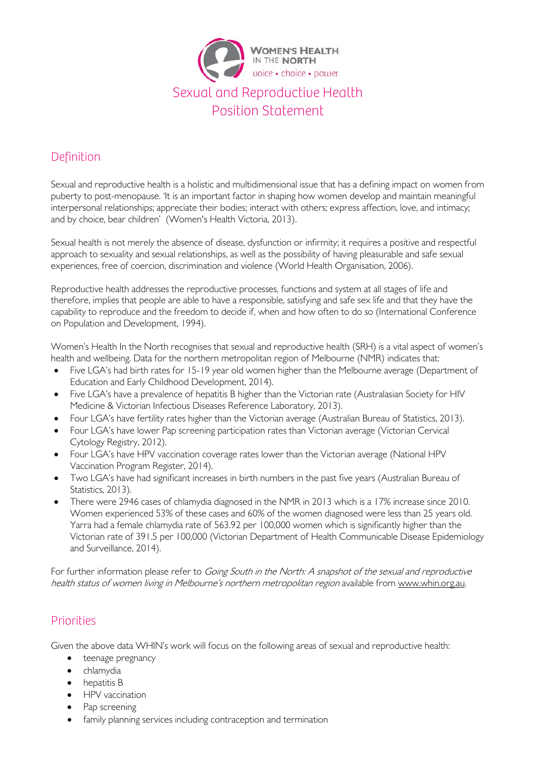

# Definition

Sexual and reproductive health is a holistic and multidimensional issue that has a defining impact on women from puberty to post-menopause. 'It is an important factor in shaping how women develop and maintain meaningful interpersonal relationships; appreciate their bodies; interact with others; express affection, love, and intimacy; and by choice, bear children' [\(Women's Health Victoria, 2013\)](#page-2-0).

Sexual health is not merely the absence of disease, dysfunction or infirmity; it requires a positive and respectful approach to sexuality and sexual relationships, as well as the possibility of having pleasurable and safe sexual experiences, free of coercion, discrimination and violence [\(World Health Organisation, 2006\)](#page-2-1).

Reproductive health addresses the reproductive processes, functions and system at all stages of life and therefore, implies that people are able to have a responsible, satisfying and safe sex life and that they have the capability to reproduce and the freedom to decide if, when and how often to do so [\(International Conference](#page-2-2)  [on Population and Development, 1994\)](#page-2-2).

Women's Health In the North recognises that sexual and reproductive health (SRH) is a vital aspect of women's health and wellbeing. Data for the northern metropolitan region of Melbourne (NMR) indicates that:

- Five LGA's had birth rates for 15-19 year old women higher than the Melbourne average [\(Department of](#page-2-3)  [Education and Early Childhood Development, 2014\)](#page-2-3).
- Five LGA's have a prevalence of hepatitis B higher than the Victorian rate (Australasian Society for HIV [Medicine & Victorian Infectious Diseases Reference Laboratory, 2013\)](#page-2-4).
- Four LGA's have fertility rates higher than the Victorian average [\(Australian Bureau of Statistics, 2013\)](#page-2-5).
- Four LGA's have lower Pap screening participation rates than Victorian average (Victorian Cervical [Cytology Registry, 2012\)](#page-2-6).
- Four LGA's have HPV vaccination coverage rates lower than the Victorian average [\(National HPV](#page-2-7)  [Vaccination Program Register, 2014\)](#page-2-7).
- Two LGA's have had significant increases in birth numbers in the past five years [\(Australian Bureau of](#page-2-5)  [Statistics, 2013\)](#page-2-5).
- There were 2946 cases of chlamydia diagnosed in the NMR in 2013 which is a 17% increase since 2010. Women experienced 53% of these cases and 60% of the women diagnosed were less than 25 years old. Yarra had a female chlamydia rate of 563.92 per 100,000 women which is significantly higher than the Victorian rate of 391.5 per 100,000 [\(Victorian Department of Health Communicable Disease Epidemiology](#page-2-8)  [and Surveillance, 2014\)](#page-2-8).

For further information please refer to Going South in the North: A snapshot of the sexual and reproductive health status of women living in Melbourne's northern metropolitan region available from [www.whin.org.au.](http://www.whin.org.au/)

### Priorities

Given the above data WHIN's work will focus on the following areas of sexual and reproductive health:

- teenage pregnancy
- chlamydia
- hepatitis B
- HPV vaccination
- Pap screening
- family planning services including contraception and termination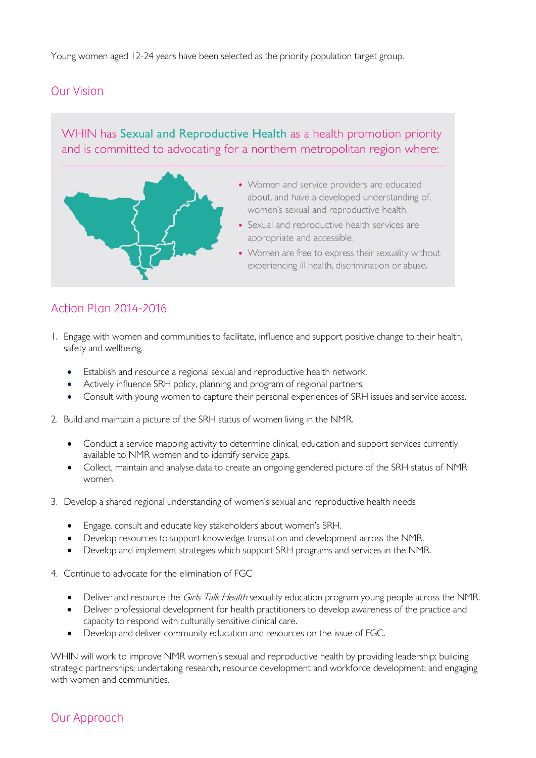Young women aged 12-24 years have been selected as the priority population target group.

#### Our Vision

### WHIN has Sexual and Reproductive Health as a health promotion priority and is committed to advocating for a northern metropolitan region where:



## Action Plan 2014-2016

- 1. Engage with women and communities to facilitate, influence and support positive change to their health, safety and wellbeing.
	- Establish and resource a regional sexual and reproductive health network.
	- Actively influence SRH policy, planning and program of regional partners.
	- Consult with young women to capture their personal experiences of SRH issues and service access.
- 2. Build and maintain a picture of the SRH status of women living in the NMR.
	- Conduct a service mapping activity to determine clinical, education and support services currently available to NMR women and to identify service gaps.
	- Collect, maintain and analyse data to create an ongoing gendered picture of the SRH status of NMR women.
- 3. Develop a shared regional understanding of women's sexual and reproductive health needs
	- Engage, consult and educate key stakeholders about women's SRH.
	- Develop resources to support knowledge translation and development across the NMR.
	- Develop and implement strategies which support SRH programs and services in the NMR.
- 4. Continue to advocate for the elimination of FGC
	- Deliver and resource the *Girls Talk Health* sexuality education program young people across the NMR.
	- Deliver professional development for health practitioners to develop awareness of the practice and capacity to respond with culturally sensitive clinical care.
	- Develop and deliver community education and resources on the issue of FGC.

WHIN will work to improve NMR women's sexual and reproductive health by providing leadership; building strategic partnerships; undertaking research, resource development and workforce development; and engaging with women and communities.

### Our Approach